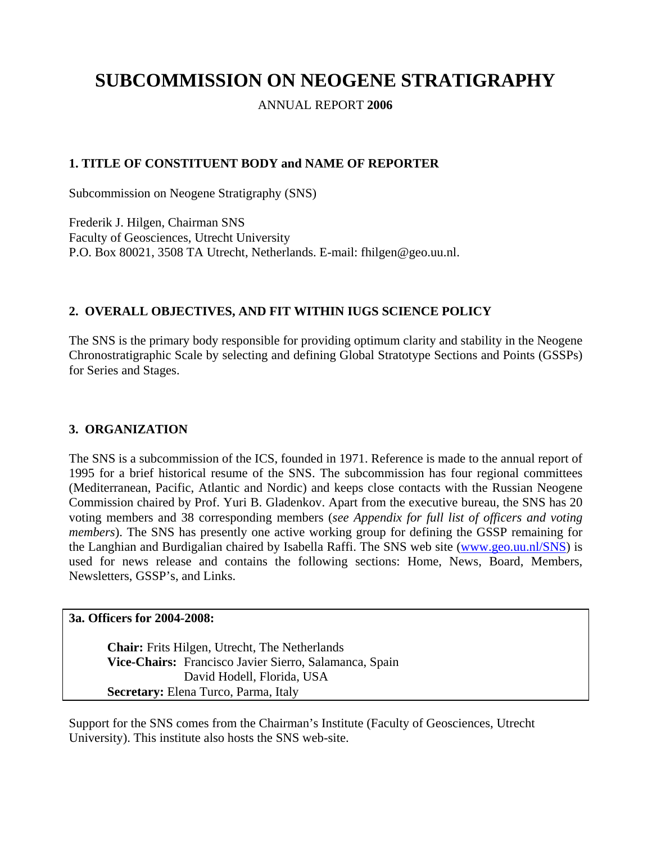# **SUBCOMMISSION ON NEOGENE STRATIGRAPHY**

ANNUAL REPORT **2006**

# **1. TITLE OF CONSTITUENT BODY and NAME OF REPORTER**

Subcommission on Neogene Stratigraphy (SNS)

Frederik J. Hilgen, Chairman SNS Faculty of Geosciences, Utrecht University P.O. Box 80021, 3508 TA Utrecht, Netherlands. E-mail: fhilgen@geo.uu.nl.

# **2. OVERALL OBJECTIVES, AND FIT WITHIN IUGS SCIENCE POLICY**

The SNS is the primary body responsible for providing optimum clarity and stability in the Neogene Chronostratigraphic Scale by selecting and defining Global Stratotype Sections and Points (GSSPs) for Series and Stages.

## **3. ORGANIZATION**

The SNS is a subcommission of the ICS, founded in 1971. Reference is made to the annual report of 1995 for a brief historical resume of the SNS. The subcommission has four regional committees (Mediterranean, Pacific, Atlantic and Nordic) and keeps close contacts with the Russian Neogene Commission chaired by Prof. Yuri B. Gladenkov. Apart from the executive bureau, the SNS has 20 voting members and 38 corresponding members (*see Appendix for full list of officers and voting members*). The SNS has presently one active working group for defining the GSSP remaining for the Langhian and Burdigalian chaired by Isabella Raffi. The SNS web site ([www.geo.uu.nl/SNS\)](http://www.geo.uu.nl/SNS) is used for news release and contains the following sections: Home, News, Board, Members, Newsletters, GSSP's, and Links.

#### **3a. Officers for 2004-2008:**

**Chair:** Frits Hilgen, Utrecht, The Netherlands **Vice-Chairs:** Francisco Javier Sierro, Salamanca, Spain David Hodell, Florida, USA **Secretary:** Elena Turco, Parma, Italy

Support for the SNS comes from the Chairman's Institute (Faculty of Geosciences, Utrecht University). This institute also hosts the SNS web-site.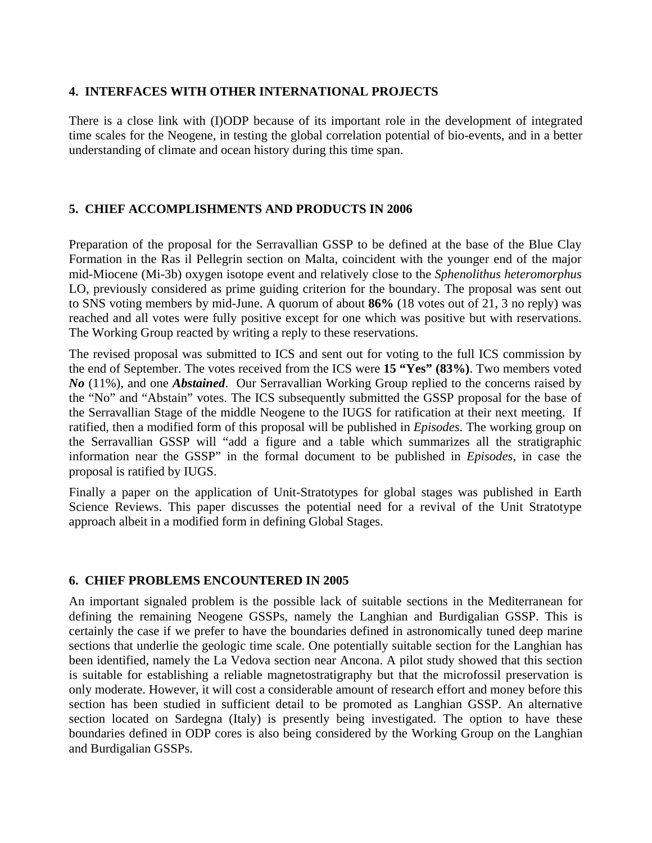#### **4. INTERFACES WITH OTHER INTERNATIONAL PROJECTS**

There is a close link with (I)ODP because of its important role in the development of integrated time scales for the Neogene, in testing the global correlation potential of bio-events, and in a better understanding of climate and ocean history during this time span.

# **5. CHIEF ACCOMPLISHMENTS AND PRODUCTS IN 2006**

Preparation of the proposal for the Serravallian GSSP to be defined at the base of the Blue Clay Formation in the Ras il Pellegrin section on Malta, coincident with the younger end of the major mid-Miocene (Mi-3b) oxygen isotope event and relatively close to the *Sphenolithus heteromorphus* LO, previously considered as prime guiding criterion for the boundary. The proposal was sent out to SNS voting members by mid-June. A quorum of about **86%** (18 votes out of 21, 3 no reply) was reached and all votes were fully positive except for one which was positive but with reservations. The Working Group reacted by writing a reply to these reservations.

The revised proposal was submitted to ICS and sent out for voting to the full ICS commission by the end of September. The votes received from the ICS were **15 "Yes" (83%)**. Two members voted *No* (11%), and one *Abstained*. Our Serravallian Working Group replied to the concerns raised by the "No" and "Abstain" votes. The ICS subsequently submitted the GSSP proposal for the base of the Serravallian Stage of the middle Neogene to the IUGS for ratification at their next meeting. If ratified, then a modified form of this proposal will be published in *Episodes*. The working group on the Serravallian GSSP will "add a figure and a table which summarizes all the stratigraphic information near the GSSP" in the formal document to be published in *Episodes*, in case the proposal is ratified by IUGS.

Finally a paper on the application of Unit-Stratotypes for global stages was published in Earth Science Reviews. This paper discusses the potential need for a revival of the Unit Stratotype approach albeit in a modified form in defining Global Stages.

## **6. CHIEF PROBLEMS ENCOUNTERED IN 2005**

An important signaled problem is the possible lack of suitable sections in the Mediterranean for defining the remaining Neogene GSSPs, namely the Langhian and Burdigalian GSSP. This is certainly the case if we prefer to have the boundaries defined in astronomically tuned deep marine sections that underlie the geologic time scale. One potentially suitable section for the Langhian has been identified, namely the La Vedova section near Ancona. A pilot study showed that this section is suitable for establishing a reliable magnetostratigraphy but that the microfossil preservation is only moderate. However, it will cost a considerable amount of research effort and money before this section has been studied in sufficient detail to be promoted as Langhian GSSP. An alternative section located on Sardegna (Italy) is presently being investigated. The option to have these boundaries defined in ODP cores is also being considered by the Working Group on the Langhian and Burdigalian GSSPs.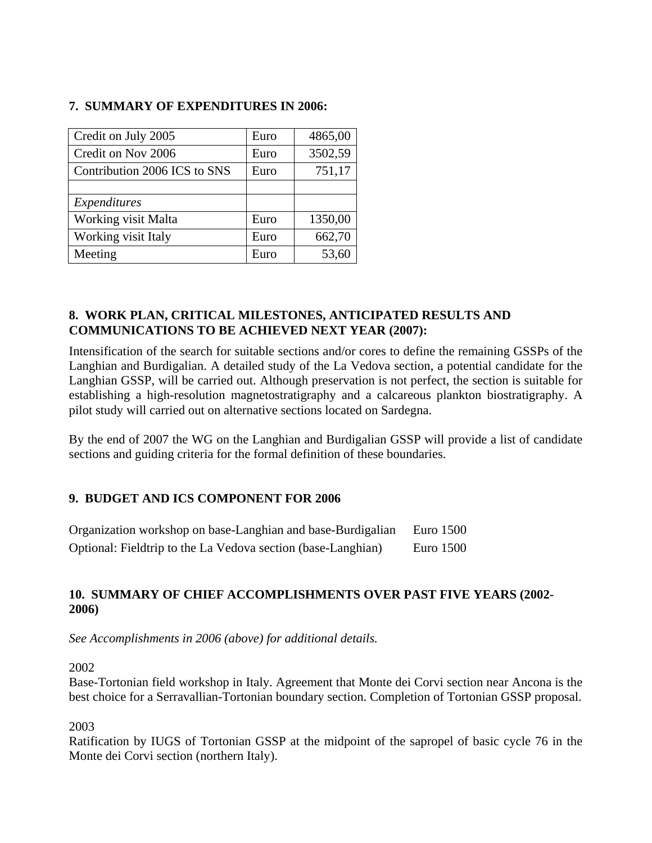## **7. SUMMARY OF EXPENDITURES IN 2006:**

| Credit on July 2005          | Euro | 4865,00 |
|------------------------------|------|---------|
| Credit on Nov 2006           | Euro | 3502,59 |
| Contribution 2006 ICS to SNS | Euro | 751,17  |
|                              |      |         |
| Expenditures                 |      |         |
|                              |      |         |
| <b>Working visit Malta</b>   | Euro | 1350,00 |
| Working visit Italy          | Euro | 662,70  |

## **8. WORK PLAN, CRITICAL MILESTONES, ANTICIPATED RESULTS AND COMMUNICATIONS TO BE ACHIEVED NEXT YEAR (2007):**

Intensification of the search for suitable sections and/or cores to define the remaining GSSPs of the Langhian and Burdigalian. A detailed study of the La Vedova section, a potential candidate for the Langhian GSSP, will be carried out. Although preservation is not perfect, the section is suitable for establishing a high-resolution magnetostratigraphy and a calcareous plankton biostratigraphy. A pilot study will carried out on alternative sections located on Sardegna.

By the end of 2007 the WG on the Langhian and Burdigalian GSSP will provide a list of candidate sections and guiding criteria for the formal definition of these boundaries.

## **9. BUDGET AND ICS COMPONENT FOR 2006**

| Organization workshop on base-Langhian and base-Burdigalian  | Euro 1500 |
|--------------------------------------------------------------|-----------|
| Optional: Fieldtrip to the La Vedova section (base-Langhian) | Euro 1500 |

# **10. SUMMARY OF CHIEF ACCOMPLISHMENTS OVER PAST FIVE YEARS (2002- 2006)**

*See Accomplishments in 2006 (above) for additional details.* 

2002

Base-Tortonian field workshop in Italy. Agreement that Monte dei Corvi section near Ancona is the best choice for a Serravallian-Tortonian boundary section. Completion of Tortonian GSSP proposal.

2003

Ratification by IUGS of Tortonian GSSP at the midpoint of the sapropel of basic cycle 76 in the Monte dei Corvi section (northern Italy).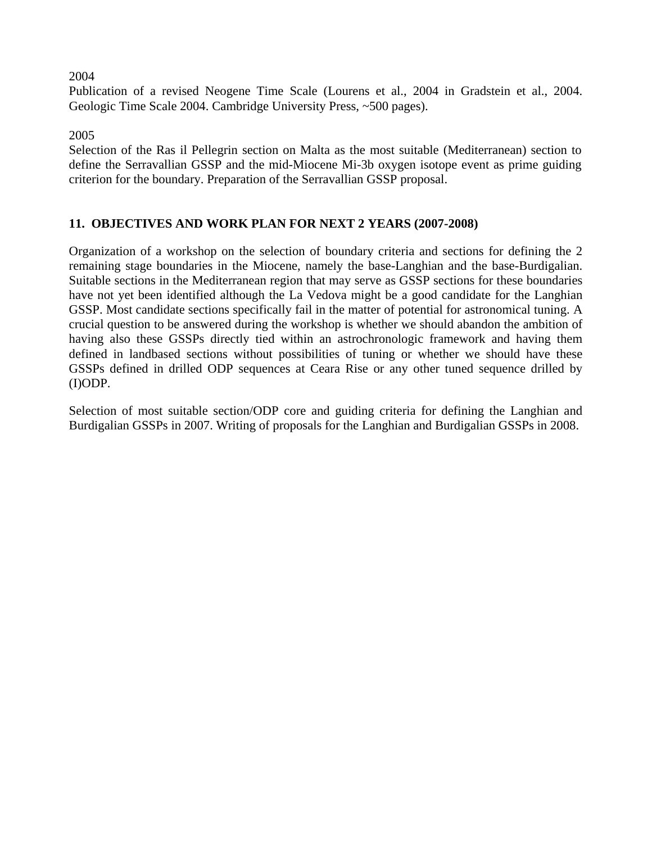#### 2004

Publication of a revised Neogene Time Scale (Lourens et al., 2004 in Gradstein et al., 2004. Geologic Time Scale 2004. Cambridge University Press, ~500 pages).

2005

Selection of the Ras il Pellegrin section on Malta as the most suitable (Mediterranean) section to define the Serravallian GSSP and the mid-Miocene Mi-3b oxygen isotope event as prime guiding criterion for the boundary. Preparation of the Serravallian GSSP proposal.

#### **11. OBJECTIVES AND WORK PLAN FOR NEXT 2 YEARS (2007-2008)**

Organization of a workshop on the selection of boundary criteria and sections for defining the 2 remaining stage boundaries in the Miocene, namely the base-Langhian and the base-Burdigalian. Suitable sections in the Mediterranean region that may serve as GSSP sections for these boundaries have not yet been identified although the La Vedova might be a good candidate for the Langhian GSSP. Most candidate sections specifically fail in the matter of potential for astronomical tuning. A crucial question to be answered during the workshop is whether we should abandon the ambition of having also these GSSPs directly tied within an astrochronologic framework and having them defined in landbased sections without possibilities of tuning or whether we should have these GSSPs defined in drilled ODP sequences at Ceara Rise or any other tuned sequence drilled by (I)ODP.

Selection of most suitable section/ODP core and guiding criteria for defining the Langhian and Burdigalian GSSPs in 2007. Writing of proposals for the Langhian and Burdigalian GSSPs in 2008.